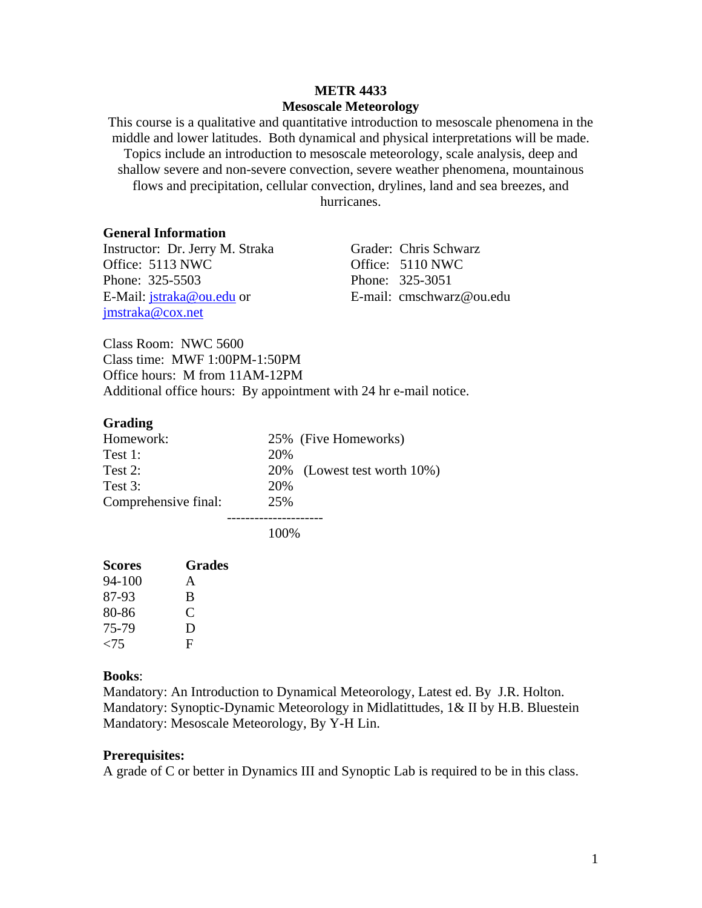# **METR 4433 Mesoscale Meteorology**

This course is a qualitative and quantitative introduction to mesoscale phenomena in the middle and lower latitudes. Both dynamical and physical interpretations will be made. Topics include an introduction to mesoscale meteorology, scale analysis, deep and shallow severe and non-severe convection, severe weather phenomena, mountainous flows and precipitation, cellular convection, drylines, land and sea breezes, and hurricanes.

#### **General Information**

Instructor: Dr. Jerry M. Straka Grader: Chris Schwarz Office: 5113 NWC Office: 5110 NWC Phone: 325-5503 Phone: 325-3051 E-Mail: jstraka@ou.edu or <br>E-mail: cmschwarz@ou.edu jmstraka@cox.net

Class Room: NWC 5600 Class time: MWF 1:00PM-1:50PM Office hours: M from 11AM-12PM Additional office hours: By appointment with 24 hr e-mail notice.

#### **Grading**

| Homework:            |     | 25% (Five Homeworks)        |  |  |
|----------------------|-----|-----------------------------|--|--|
| Test 1:              | 20% |                             |  |  |
| Test 2:              |     | 20% (Lowest test worth 10%) |  |  |
| Test 3:              | 20% |                             |  |  |
| Comprehensive final: | 25% |                             |  |  |
|                      |     |                             |  |  |

100%

| <b>Scores</b> | <b>Grades</b> |
|---------------|---------------|
| 94-100        | A             |
| 87-93         | B             |
| 80-86         | C             |
| 75-79         | Ð             |
| ${<}75$       | F             |

#### **Books**:

Mandatory: An Introduction to Dynamical Meteorology, Latest ed. By J.R. Holton. Mandatory: Synoptic-Dynamic Meteorology in Midlatittudes, 1& II by H.B. Bluestein Mandatory: Mesoscale Meteorology, By Y-H Lin.

#### **Prerequisites:**

A grade of C or better in Dynamics III and Synoptic Lab is required to be in this class.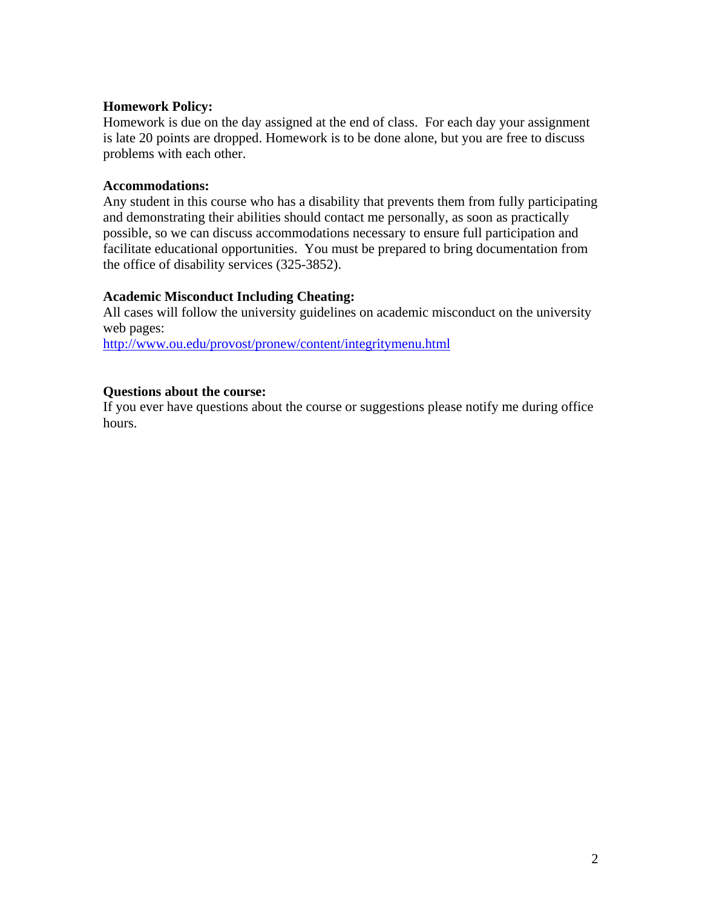## **Homework Policy:**

Homework is due on the day assigned at the end of class. For each day your assignment is late 20 points are dropped. Homework is to be done alone, but you are free to discuss problems with each other.

### **Accommodations:**

Any student in this course who has a disability that prevents them from fully participating and demonstrating their abilities should contact me personally, as soon as practically possible, so we can discuss accommodations necessary to ensure full participation and facilitate educational opportunities. You must be prepared to bring documentation from the office of disability services (325-3852).

# **Academic Misconduct Including Cheating:**

All cases will follow the university guidelines on academic misconduct on the university web pages:

http://www.ou.edu/provost/pronew/content/integritymenu.html

# **Questions about the course:**

If you ever have questions about the course or suggestions please notify me during office hours.